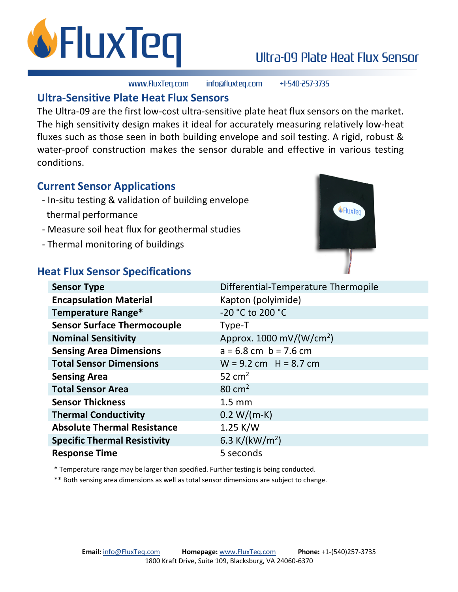

## Ultra-09 Plate Heat Flux Sensor

www.FluxTeq.com info@fluxteq.com +1-540-257-3735

## **Ultra-Sensitive Plate Heat Flux Sensors**

The Ultra-09 are the first low-cost ultra-sensitive plate heat flux sensors on the market. The high sensitivity design makes it ideal for accurately measuring relatively low-heat fluxes such as those seen in both building envelope and soil testing. A rigid, robust & water-proof construction makes the sensor durable and effective in various testing conditions.

## **Current Sensor Applications**

- In-situ testing & validation of building envelope thermal performance
- Measure soil heat flux for geothermal studies
- Thermal monitoring of buildings



## **Heat Flux Sensor Specifications**

| Differential-Temperature Thermopile       |
|-------------------------------------------|
| Kapton (polyimide)                        |
| -20 °C to 200 °C                          |
| Type-T                                    |
| Approx. $1000 \text{ mV}/(\text{W/cm}^2)$ |
| $a = 6.8$ cm $b = 7.6$ cm                 |
| $W = 9.2$ cm $H = 8.7$ cm                 |
| 52 $cm2$                                  |
| $80 \text{ cm}^2$                         |
| $1.5 \text{ mm}$                          |
| $0.2 W/(m-K)$                             |
| $1.25$ K/W                                |
| 6.3 K/( $kW/m2$ )                         |
| 5 seconds                                 |
|                                           |

\* Temperature range may be larger than specified. Further testing is being conducted.

\*\* Both sensing area dimensions as well as total sensor dimensions are subject to change.